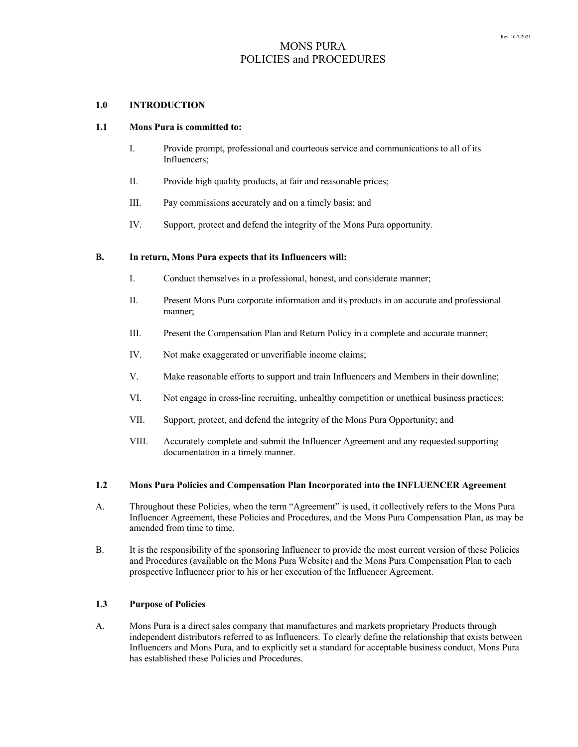## **1.0 INTRODUCTION**

## **1.1 Mons Pura is committed to:**

- I. Provide prompt, professional and courteous service and communications to all of its Influencers;
- II. Provide high quality products, at fair and reasonable prices;
- III. Pay commissions accurately and on a timely basis; and
- IV. Support, protect and defend the integrity of the Mons Pura opportunity.

## **B. In return, Mons Pura expects that its Influencers will:**

- I. Conduct themselves in a professional, honest, and considerate manner;
- II. Present Mons Pura corporate information and its products in an accurate and professional manner;
- III. Present the Compensation Plan and Return Policy in a complete and accurate manner;
- IV. Not make exaggerated or unverifiable income claims;
- V. Make reasonable efforts to support and train Influencers and Members in their downline;
- VI. Not engage in cross-line recruiting, unhealthy competition or unethical business practices;
- VII. Support, protect, and defend the integrity of the Mons Pura Opportunity; and
- VIII. Accurately complete and submit the Influencer Agreement and any requested supporting documentation in a timely manner.

### **1.2 Mons Pura Policies and Compensation Plan Incorporated into the INFLUENCER Agreement**

- A. Throughout these Policies, when the term "Agreement" is used, it collectively refers to the Mons Pura Influencer Agreement, these Policies and Procedures, and the Mons Pura Compensation Plan, as may be amended from time to time.
- B. It is the responsibility of the sponsoring Influencer to provide the most current version of these Policies and Procedures (available on the Mons Pura Website) and the Mons Pura Compensation Plan to each prospective Influencer prior to his or her execution of the Influencer Agreement.

## **1.3 Purpose of Policies**

A. Mons Pura is a direct sales company that manufactures and markets proprietary Products through independent distributors referred to as Influencers. To clearly define the relationship that exists between Influencers and Mons Pura, and to explicitly set a standard for acceptable business conduct, Mons Pura has established these Policies and Procedures.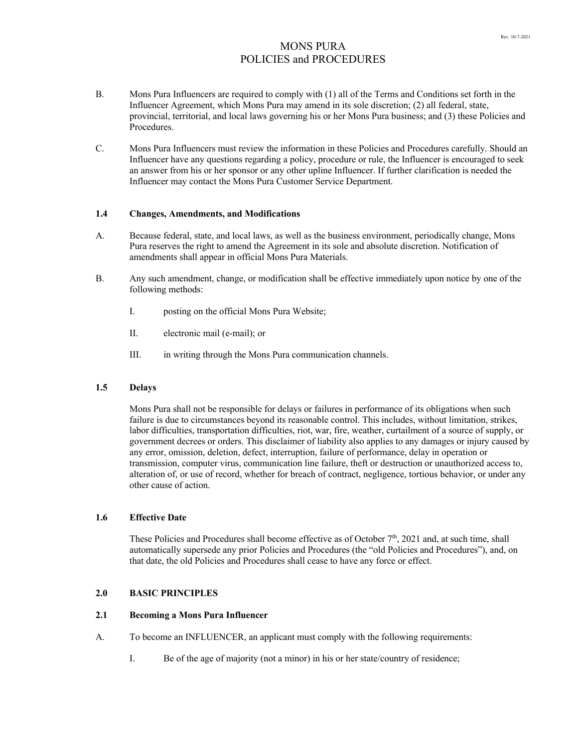- B. Mons Pura Influencers are required to comply with (1) all of the Terms and Conditions set forth in the Influencer Agreement, which Mons Pura may amend in its sole discretion; (2) all federal, state, provincial, territorial, and local laws governing his or her Mons Pura business; and (3) these Policies and Procedures.
- C. Mons Pura Influencers must review the information in these Policies and Procedures carefully. Should an Influencer have any questions regarding a policy, procedure or rule, the Influencer is encouraged to seek an answer from his or her sponsor or any other upline Influencer. If further clarification is needed the Influencer may contact the Mons Pura Customer Service Department.

### **1.4 Changes, Amendments, and Modifications**

- A. Because federal, state, and local laws, as well as the business environment, periodically change, Mons Pura reserves the right to amend the Agreement in its sole and absolute discretion. Notification of amendments shall appear in official Mons Pura Materials.
- B. Any such amendment, change, or modification shall be effective immediately upon notice by one of the following methods:
	- I. posting on the official Mons Pura Website;
	- II. electronic mail (e-mail); or
	- III. in writing through the Mons Pura communication channels.

## **1.5 Delays**

Mons Pura shall not be responsible for delays or failures in performance of its obligations when such failure is due to circumstances beyond its reasonable control. This includes, without limitation, strikes, labor difficulties, transportation difficulties, riot, war, fire, weather, curtailment of a source of supply, or government decrees or orders. This disclaimer of liability also applies to any damages or injury caused by any error, omission, deletion, defect, interruption, failure of performance, delay in operation or transmission, computer virus, communication line failure, theft or destruction or unauthorized access to, alteration of, or use of record, whether for breach of contract, negligence, tortious behavior, or under any other cause of action.

### **1.6 Effective Date**

These Policies and Procedures shall become effective as of October  $7<sup>th</sup>$ , 2021 and, at such time, shall automatically supersede any prior Policies and Procedures (the "old Policies and Procedures"), and, on that date, the old Policies and Procedures shall cease to have any force or effect.

## **2.0 BASIC PRINCIPLES**

### **2.1 Becoming a Mons Pura Influencer**

- A. To become an INFLUENCER, an applicant must comply with the following requirements:
	- I. Be of the age of majority (not a minor) in his or her state/country of residence;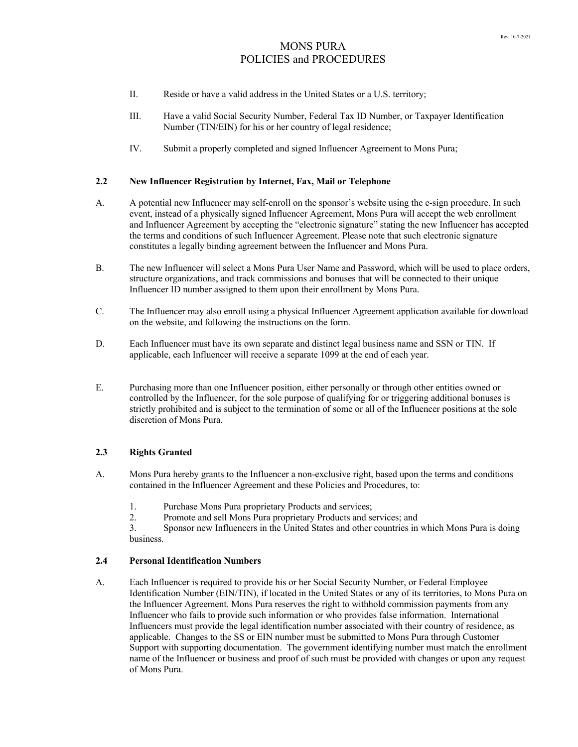- II. Reside or have a valid address in the United States or a U.S. territory;
- III. Have a valid Social Security Number, Federal Tax ID Number, or Taxpayer Identification Number (TIN/EIN) for his or her country of legal residence;
- IV. Submit a properly completed and signed Influencer Agreement to Mons Pura;

## **2.2 New Influencer Registration by Internet, Fax, Mail or Telephone**

- A. A potential new Influencer may self-enroll on the sponsor's website using the e-sign procedure. In such event, instead of a physically signed Influencer Agreement, Mons Pura will accept the web enrollment and Influencer Agreement by accepting the "electronic signature" stating the new Influencer has accepted the terms and conditions of such Influencer Agreement. Please note that such electronic signature constitutes a legally binding agreement between the Influencer and Mons Pura.
- B. The new Influencer will select a Mons Pura User Name and Password, which will be used to place orders, structure organizations, and track commissions and bonuses that will be connected to their unique Influencer ID number assigned to them upon their enrollment by Mons Pura.
- C. The Influencer may also enroll using a physical Influencer Agreement application available for download on the website, and following the instructions on the form.
- D. Each Influencer must have its own separate and distinct legal business name and SSN or TIN. If applicable, each Influencer will receive a separate 1099 at the end of each year.
- E. Purchasing more than one Influencer position, either personally or through other entities owned or controlled by the Influencer, for the sole purpose of qualifying for or triggering additional bonuses is strictly prohibited and is subject to the termination of some or all of the Influencer positions at the sole discretion of Mons Pura.

## **2.3 Rights Granted**

- A. Mons Pura hereby grants to the Influencer a non-exclusive right, based upon the terms and conditions contained in the Influencer Agreement and these Policies and Procedures, to:
	- 1. Purchase Mons Pura proprietary Products and services;
	- 2. Promote and sell Mons Pura proprietary Products and services; and

3. Sponsor new Influencers in the United States and other countries in which Mons Pura is doing business.

## **2.4 Personal Identification Numbers**

A. Each Influencer is required to provide his or her Social Security Number, or Federal Employee Identification Number (EIN/TIN), if located in the United States or any of its territories, to Mons Pura on the Influencer Agreement. Mons Pura reserves the right to withhold commission payments from any Influencer who fails to provide such information or who provides false information. International Influencers must provide the legal identification number associated with their country of residence, as applicable. Changes to the SS or EIN number must be submitted to Mons Pura through Customer Support with supporting documentation. The government identifying number must match the enrollment name of the Influencer or business and proof of such must be provided with changes or upon any request of Mons Pura.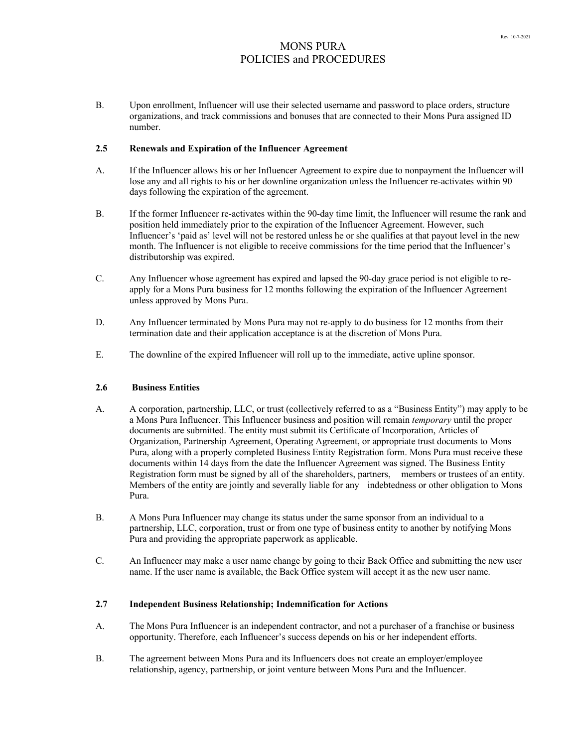B. Upon enrollment, Influencer will use their selected username and password to place orders, structure organizations, and track commissions and bonuses that are connected to their Mons Pura assigned ID number.

## **2.5 Renewals and Expiration of the Influencer Agreement**

- A. If the Influencer allows his or her Influencer Agreement to expire due to nonpayment the Influencer will lose any and all rights to his or her downline organization unless the Influencer re-activates within 90 days following the expiration of the agreement.
- B. If the former Influencer re-activates within the 90-day time limit, the Influencer will resume the rank and position held immediately prior to the expiration of the Influencer Agreement. However, such Influencer's 'paid as' level will not be restored unless he or she qualifies at that payout level in the new month. The Influencer is not eligible to receive commissions for the time period that the Influencer's distributorship was expired.
- C. Any Influencer whose agreement has expired and lapsed the 90-day grace period is not eligible to reapply for a Mons Pura business for 12 months following the expiration of the Influencer Agreement unless approved by Mons Pura.
- D. Any Influencer terminated by Mons Pura may not re-apply to do business for 12 months from their termination date and their application acceptance is at the discretion of Mons Pura.
- E. The downline of the expired Influencer will roll up to the immediate, active upline sponsor.

# **2.6 Business Entities**

- A. A corporation, partnership, LLC, or trust (collectively referred to as a "Business Entity") may apply to be a Mons Pura Influencer. This Influencer business and position will remain *temporary* until the proper documents are submitted. The entity must submit its Certificate of Incorporation, Articles of Organization, Partnership Agreement, Operating Agreement, or appropriate trust documents to Mons Pura, along with a properly completed Business Entity Registration form. Mons Pura must receive these documents within 14 days from the date the Influencer Agreement was signed. The Business Entity Registration form must be signed by all of the shareholders, partners, members or trustees of an entity. Members of the entity are jointly and severally liable for any indebtedness or other obligation to Mons Pura.
- B. A Mons Pura Influencer may change its status under the same sponsor from an individual to a partnership, LLC, corporation, trust or from one type of business entity to another by notifying Mons Pura and providing the appropriate paperwork as applicable.
- C. An Influencer may make a user name change by going to their Back Office and submitting the new user name. If the user name is available, the Back Office system will accept it as the new user name.

### **2.7 Independent Business Relationship; Indemnification for Actions**

- A. The Mons Pura Influencer is an independent contractor, and not a purchaser of a franchise or business opportunity. Therefore, each Influencer's success depends on his or her independent efforts.
- B. The agreement between Mons Pura and its Influencers does not create an employer/employee relationship, agency, partnership, or joint venture between Mons Pura and the Influencer.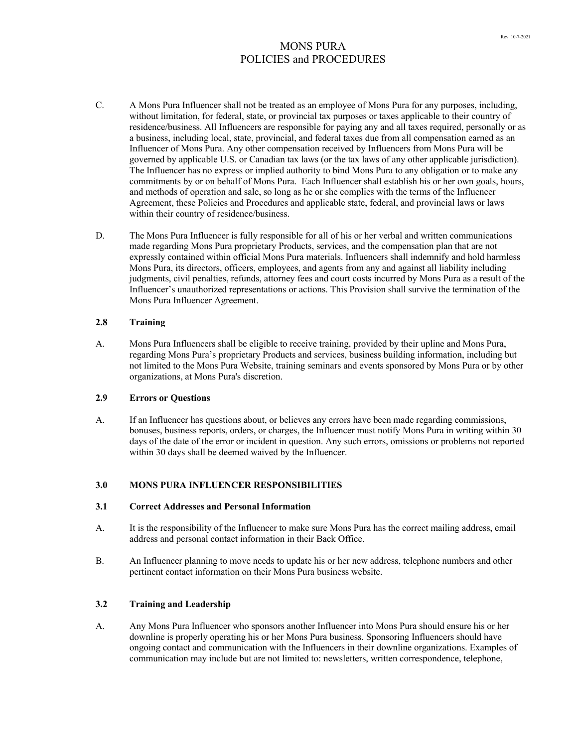- C. A Mons Pura Influencer shall not be treated as an employee of Mons Pura for any purposes, including, without limitation, for federal, state, or provincial tax purposes or taxes applicable to their country of residence/business. All Influencers are responsible for paying any and all taxes required, personally or as a business, including local, state, provincial, and federal taxes due from all compensation earned as an Influencer of Mons Pura. Any other compensation received by Influencers from Mons Pura will be governed by applicable U.S. or Canadian tax laws (or the tax laws of any other applicable jurisdiction). The Influencer has no express or implied authority to bind Mons Pura to any obligation or to make any commitments by or on behalf of Mons Pura. Each Influencer shall establish his or her own goals, hours, and methods of operation and sale, so long as he or she complies with the terms of the Influencer Agreement, these Policies and Procedures and applicable state, federal, and provincial laws or laws within their country of residence/business.
- D. The Mons Pura Influencer is fully responsible for all of his or her verbal and written communications made regarding Mons Pura proprietary Products, services, and the compensation plan that are not expressly contained within official Mons Pura materials. Influencers shall indemnify and hold harmless Mons Pura, its directors, officers, employees, and agents from any and against all liability including judgments, civil penalties, refunds, attorney fees and court costs incurred by Mons Pura as a result of the Influencer's unauthorized representations or actions. This Provision shall survive the termination of the Mons Pura Influencer Agreement.

## **2.8 Training**

A. Mons Pura Influencers shall be eligible to receive training, provided by their upline and Mons Pura, regarding Mons Pura's proprietary Products and services, business building information, including but not limited to the Mons Pura Website, training seminars and events sponsored by Mons Pura or by other organizations, at Mons Pura's discretion.

### **2.9 Errors or Questions**

A. If an Influencer has questions about, or believes any errors have been made regarding commissions, bonuses, business reports, orders, or charges, the Influencer must notify Mons Pura in writing within 30 days of the date of the error or incident in question. Any such errors, omissions or problems not reported within 30 days shall be deemed waived by the Influencer.

### **3.0 MONS PURA INFLUENCER RESPONSIBILITIES**

### **3.1 Correct Addresses and Personal Information**

- A. It is the responsibility of the Influencer to make sure Mons Pura has the correct mailing address, email address and personal contact information in their Back Office.
- B. An Influencer planning to move needs to update his or her new address, telephone numbers and other pertinent contact information on their Mons Pura business website.

## **3.2 Training and Leadership**

A. Any Mons Pura Influencer who sponsors another Influencer into Mons Pura should ensure his or her downline is properly operating his or her Mons Pura business. Sponsoring Influencers should have ongoing contact and communication with the Influencers in their downline organizations. Examples of communication may include but are not limited to: newsletters, written correspondence, telephone,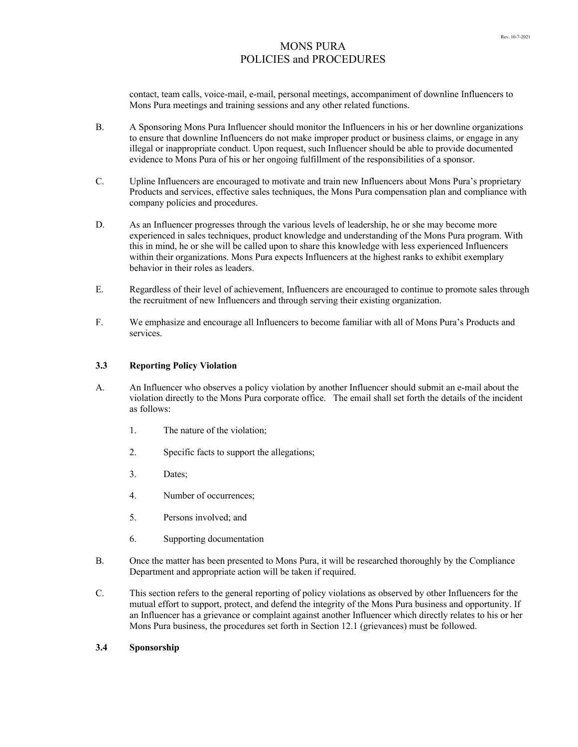contact, team calls, voice-mail, e-mail, personal meetings, accompaniment of downline Influencers to Mons Pura meetings and training sessions and any other related functions.

- B. A Sponsoring Mons Pura Influencer should monitor the Influencers in his or her downline organizations to ensure that downline Influencers do not make improper product or business claims, or engage in any illegal or inappropriate conduct. Upon request, such Influencer should be able to provide documented evidence to Mons Pura of his or her ongoing fulfillment of the responsibilities of a sponsor.
- C. Upline Influencers are encouraged to motivate and train new Influencers about Mons Pura's proprietary Products and services, effective sales techniques, the Mons Pura compensation plan and compliance with company policies and procedures.
- D. As an Influencer progresses through the various levels of leadership, he or she may become more experienced in sales techniques, product knowledge and understanding of the Mons Pura program. With this in mind, he or she will be called upon to share this knowledge with less experienced Influencers within their organizations. Mons Pura expects Influencers at the highest ranks to exhibit exemplary behavior in their roles as leaders.
- E. Regardless of their level of achievement, Influencers are encouraged to continue to promote sales through the recruitment of new Influencers and through serving their existing organization.
- F. We emphasize and encourage all Influencers to become familiar with all of Mons Pura's Products and services.

## **3.3 Reporting Policy Violation**

- A. An Influencer who observes a policy violation by another Influencer should submit an e-mail about the violation directly to the Mons Pura corporate office. The email shall set forth the details of the incident as follows:
	- 1. The nature of the violation;
	- 2. Specific facts to support the allegations;
	- 3. Dates;
	- 4. Number of occurrences;
	- 5. Persons involved; and
	- 6. Supporting documentation
- B. Once the matter has been presented to Mons Pura, it will be researched thoroughly by the Compliance Department and appropriate action will be taken if required.
- C. This section refers to the general reporting of policy violations as observed by other Influencers for the mutual effort to support, protect, and defend the integrity of the Mons Pura business and opportunity. If an Influencer has a grievance or complaint against another Influencer which directly relates to his or her Mons Pura business, the procedures set forth in Section 12.1 (grievances) must be followed.

## **3.4 Sponsorship**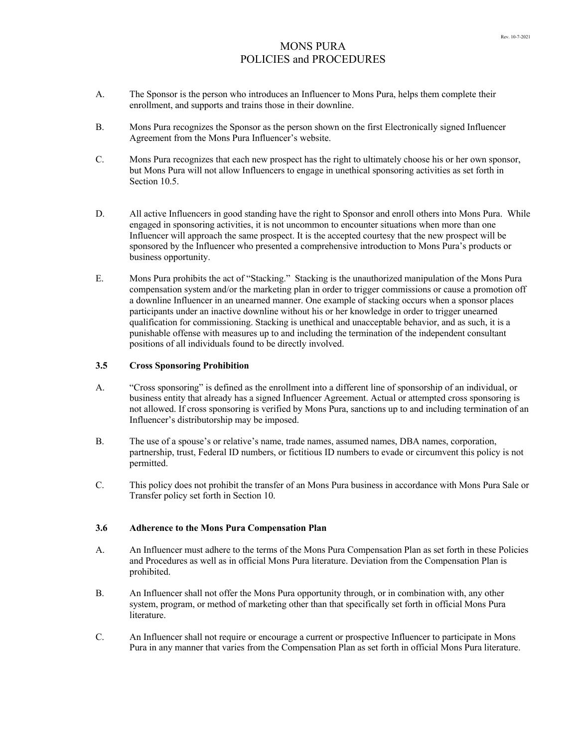- A. The Sponsor is the person who introduces an Influencer to Mons Pura, helps them complete their enrollment, and supports and trains those in their downline.
- B. Mons Pura recognizes the Sponsor as the person shown on the first Electronically signed Influencer Agreement from the Mons Pura Influencer's website.
- C. Mons Pura recognizes that each new prospect has the right to ultimately choose his or her own sponsor, but Mons Pura will not allow Influencers to engage in unethical sponsoring activities as set forth in Section 10.5.
- D. All active Influencers in good standing have the right to Sponsor and enroll others into Mons Pura. While engaged in sponsoring activities, it is not uncommon to encounter situations when more than one Influencer will approach the same prospect. It is the accepted courtesy that the new prospect will be sponsored by the Influencer who presented a comprehensive introduction to Mons Pura's products or business opportunity.
- E. Mons Pura prohibits the act of "Stacking." Stacking is the unauthorized manipulation of the Mons Pura compensation system and/or the marketing plan in order to trigger commissions or cause a promotion off a downline Influencer in an unearned manner. One example of stacking occurs when a sponsor places participants under an inactive downline without his or her knowledge in order to trigger unearned qualification for commissioning. Stacking is unethical and unacceptable behavior, and as such, it is a punishable offense with measures up to and including the termination of the independent consultant positions of all individuals found to be directly involved.

## **3.5 Cross Sponsoring Prohibition**

- A. "Cross sponsoring" is defined as the enrollment into a different line of sponsorship of an individual, or business entity that already has a signed Influencer Agreement. Actual or attempted cross sponsoring is not allowed. If cross sponsoring is verified by Mons Pura, sanctions up to and including termination of an Influencer's distributorship may be imposed.
- B. The use of a spouse's or relative's name, trade names, assumed names, DBA names, corporation, partnership, trust, Federal ID numbers, or fictitious ID numbers to evade or circumvent this policy is not permitted.
- C. This policy does not prohibit the transfer of an Mons Pura business in accordance with Mons Pura Sale or Transfer policy set forth in Section 10.

## **3.6 Adherence to the Mons Pura Compensation Plan**

- A. An Influencer must adhere to the terms of the Mons Pura Compensation Plan as set forth in these Policies and Procedures as well as in official Mons Pura literature. Deviation from the Compensation Plan is prohibited.
- B. An Influencer shall not offer the Mons Pura opportunity through, or in combination with, any other system, program, or method of marketing other than that specifically set forth in official Mons Pura literature.
- C. An Influencer shall not require or encourage a current or prospective Influencer to participate in Mons Pura in any manner that varies from the Compensation Plan as set forth in official Mons Pura literature.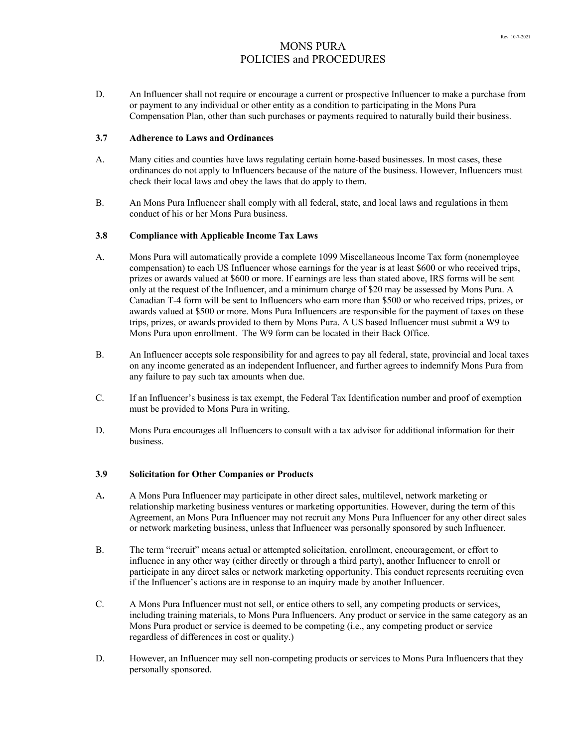D. An Influencer shall not require or encourage a current or prospective Influencer to make a purchase from or payment to any individual or other entity as a condition to participating in the Mons Pura Compensation Plan, other than such purchases or payments required to naturally build their business.

## **3.7 Adherence to Laws and Ordinances**

- A. Many cities and counties have laws regulating certain home-based businesses. In most cases, these ordinances do not apply to Influencers because of the nature of the business. However, Influencers must check their local laws and obey the laws that do apply to them.
- B. An Mons Pura Influencer shall comply with all federal, state, and local laws and regulations in them conduct of his or her Mons Pura business.

# **3.8 Compliance with Applicable Income Tax Laws**

- A. Mons Pura will automatically provide a complete 1099 Miscellaneous Income Tax form (nonemployee compensation) to each US Influencer whose earnings for the year is at least \$600 or who received trips, prizes or awards valued at \$600 or more. If earnings are less than stated above, IRS forms will be sent only at the request of the Influencer, and a minimum charge of \$20 may be assessed by Mons Pura. A Canadian T-4 form will be sent to Influencers who earn more than \$500 or who received trips, prizes, or awards valued at \$500 or more. Mons Pura Influencers are responsible for the payment of taxes on these trips, prizes, or awards provided to them by Mons Pura. A US based Influencer must submit a W9 to Mons Pura upon enrollment. The W9 form can be located in their Back Office.
- B. An Influencer accepts sole responsibility for and agrees to pay all federal, state, provincial and local taxes on any income generated as an independent Influencer, and further agrees to indemnify Mons Pura from any failure to pay such tax amounts when due.
- C. If an Influencer's business is tax exempt, the Federal Tax Identification number and proof of exemption must be provided to Mons Pura in writing.
- D. Mons Pura encourages all Influencers to consult with a tax advisor for additional information for their business.

## **3.9 Solicitation for Other Companies or Products**

- A**.** A Mons Pura Influencer may participate in other direct sales, multilevel, network marketing or relationship marketing business ventures or marketing opportunities. However, during the term of this Agreement, an Mons Pura Influencer may not recruit any Mons Pura Influencer for any other direct sales or network marketing business, unless that Influencer was personally sponsored by such Influencer.
- B. The term "recruit" means actual or attempted solicitation, enrollment, encouragement, or effort to influence in any other way (either directly or through a third party), another Influencer to enroll or participate in any direct sales or network marketing opportunity. This conduct represents recruiting even if the Influencer's actions are in response to an inquiry made by another Influencer.
- C. A Mons Pura Influencer must not sell, or entice others to sell, any competing products or services, including training materials, to Mons Pura Influencers. Any product or service in the same category as an Mons Pura product or service is deemed to be competing (i.e., any competing product or service regardless of differences in cost or quality.)
- D. However, an Influencer may sell non-competing products or services to Mons Pura Influencers that they personally sponsored.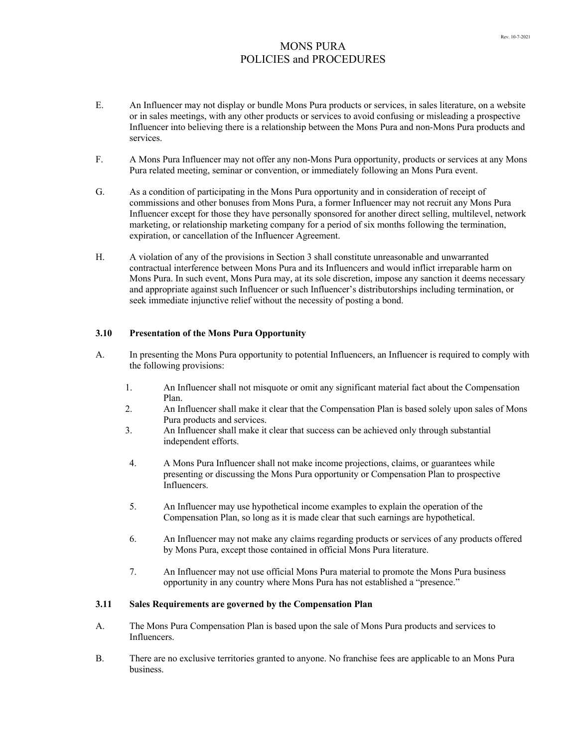- E. An Influencer may not display or bundle Mons Pura products or services, in sales literature, on a website or in sales meetings, with any other products or services to avoid confusing or misleading a prospective Influencer into believing there is a relationship between the Mons Pura and non-Mons Pura products and services.
- F. A Mons Pura Influencer may not offer any non-Mons Pura opportunity, products or services at any Mons Pura related meeting, seminar or convention, or immediately following an Mons Pura event.
- G. As a condition of participating in the Mons Pura opportunity and in consideration of receipt of commissions and other bonuses from Mons Pura, a former Influencer may not recruit any Mons Pura Influencer except for those they have personally sponsored for another direct selling, multilevel, network marketing, or relationship marketing company for a period of six months following the termination, expiration, or cancellation of the Influencer Agreement.
- H. A violation of any of the provisions in Section 3 shall constitute unreasonable and unwarranted contractual interference between Mons Pura and its Influencers and would inflict irreparable harm on Mons Pura. In such event, Mons Pura may, at its sole discretion, impose any sanction it deems necessary and appropriate against such Influencer or such Influencer's distributorships including termination, or seek immediate injunctive relief without the necessity of posting a bond.

## **3.10 Presentation of the Mons Pura Opportunity**

- A. In presenting the Mons Pura opportunity to potential Influencers, an Influencer is required to comply with the following provisions:
	- 1. An Influencer shall not misquote or omit any significant material fact about the Compensation Plan.
	- 2. An Influencer shall make it clear that the Compensation Plan is based solely upon sales of Mons Pura products and services.
	- 3. An Influencer shall make it clear that success can be achieved only through substantial independent efforts.
	- 4. A Mons Pura Influencer shall not make income projections, claims, or guarantees while presenting or discussing the Mons Pura opportunity or Compensation Plan to prospective Influencers.
	- 5. An Influencer may use hypothetical income examples to explain the operation of the Compensation Plan, so long as it is made clear that such earnings are hypothetical.
	- 6. An Influencer may not make any claims regarding products or services of any products offered by Mons Pura, except those contained in official Mons Pura literature.
	- 7. An Influencer may not use official Mons Pura material to promote the Mons Pura business opportunity in any country where Mons Pura has not established a "presence."

### **3.11 Sales Requirements are governed by the Compensation Plan**

- A. The Mons Pura Compensation Plan is based upon the sale of Mons Pura products and services to Influencers.
- B. There are no exclusive territories granted to anyone. No franchise fees are applicable to an Mons Pura business.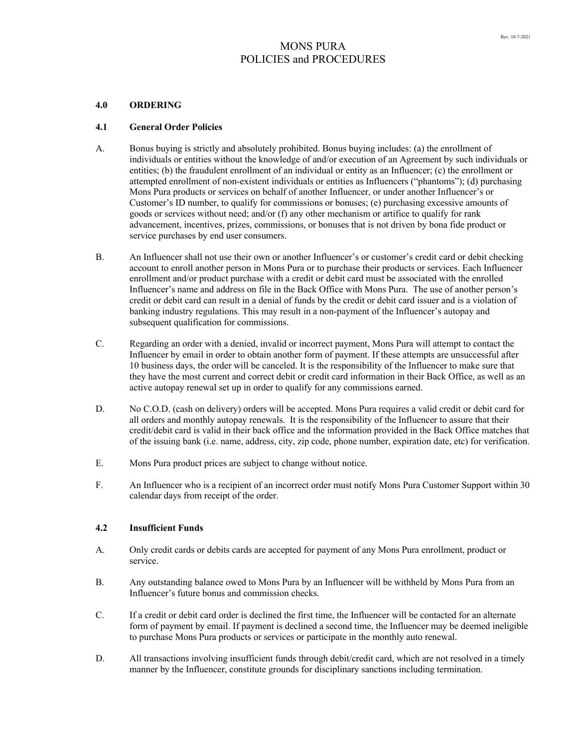#### **4.0 ORDERING**

#### **4.1 General Order Policies**

- A. Bonus buying is strictly and absolutely prohibited. Bonus buying includes: (a) the enrollment of individuals or entities without the knowledge of and/or execution of an Agreement by such individuals or entities; (b) the fraudulent enrollment of an individual or entity as an Influencer; (c) the enrollment or attempted enrollment of non-existent individuals or entities as Influencers ("phantoms"); (d) purchasing Mons Pura products or services on behalf of another Influencer, or under another Influencer's or Customer's ID number, to qualify for commissions or bonuses; (e) purchasing excessive amounts of goods or services without need; and/or (f) any other mechanism or artifice to qualify for rank advancement, incentives, prizes, commissions, or bonuses that is not driven by bona fide product or service purchases by end user consumers.
- B. An Influencer shall not use their own or another Influencer's or customer's credit card or debit checking account to enroll another person in Mons Pura or to purchase their products or services. Each Influencer enrollment and/or product purchase with a credit or debit card must be associated with the enrolled Influencer's name and address on file in the Back Office with Mons Pura. The use of another person's credit or debit card can result in a denial of funds by the credit or debit card issuer and is a violation of banking industry regulations. This may result in a non-payment of the Influencer's autopay and subsequent qualification for commissions.
- C. Regarding an order with a denied, invalid or incorrect payment, Mons Pura will attempt to contact the Influencer by email in order to obtain another form of payment. If these attempts are unsuccessful after 10 business days, the order will be canceled. It is the responsibility of the Influencer to make sure that they have the most current and correct debit or credit card information in their Back Office, as well as an active autopay renewal set up in order to qualify for any commissions earned.
- D. No C.O.D. (cash on delivery) orders will be accepted. Mons Pura requires a valid credit or debit card for all orders and monthly autopay renewals. It is the responsibility of the Influencer to assure that their credit/debit card is valid in their back office and the information provided in the Back Office matches that of the issuing bank (i.e. name, address, city, zip code, phone number, expiration date, etc) for verification.
- E. Mons Pura product prices are subject to change without notice.
- F. An Influencer who is a recipient of an incorrect order must notify Mons Pura Customer Support within 30 calendar days from receipt of the order.

### **4.2 Insufficient Funds**

- A. Only credit cards or debits cards are accepted for payment of any Mons Pura enrollment, product or service.
- B. Any outstanding balance owed to Mons Pura by an Influencer will be withheld by Mons Pura from an Influencer's future bonus and commission checks.
- C. If a credit or debit card order is declined the first time, the Influencer will be contacted for an alternate form of payment by email. If payment is declined a second time, the Influencer may be deemed ineligible to purchase Mons Pura products or services or participate in the monthly auto renewal.
- D. All transactions involving insufficient funds through debit/credit card, which are not resolved in a timely manner by the Influencer, constitute grounds for disciplinary sanctions including termination.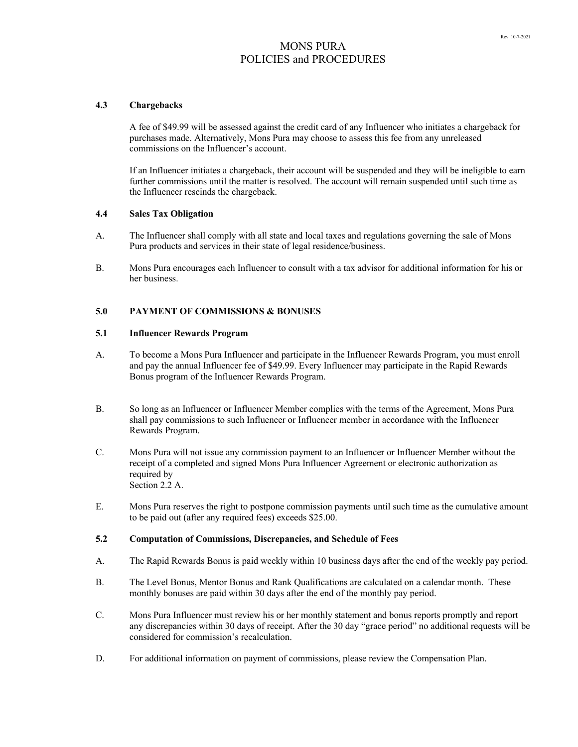### **4.3 Chargebacks**

A fee of \$49.99 will be assessed against the credit card of any Influencer who initiates a chargeback for purchases made. Alternatively, Mons Pura may choose to assess this fee from any unreleased commissions on the Influencer's account.

If an Influencer initiates a chargeback, their account will be suspended and they will be ineligible to earn further commissions until the matter is resolved. The account will remain suspended until such time as the Influencer rescinds the chargeback.

#### **4.4 Sales Tax Obligation**

- A. The Influencer shall comply with all state and local taxes and regulations governing the sale of Mons Pura products and services in their state of legal residence/business.
- B. Mons Pura encourages each Influencer to consult with a tax advisor for additional information for his or her business.

### **5.0 PAYMENT OF COMMISSIONS & BONUSES**

### **5.1 Influencer Rewards Program**

- A. To become a Mons Pura Influencer and participate in the Influencer Rewards Program, you must enroll and pay the annual Influencer fee of \$49.99. Every Influencer may participate in the Rapid Rewards Bonus program of the Influencer Rewards Program.
- B. So long as an Influencer or Influencer Member complies with the terms of the Agreement, Mons Pura shall pay commissions to such Influencer or Influencer member in accordance with the Influencer Rewards Program.
- C. Mons Pura will not issue any commission payment to an Influencer or Influencer Member without the receipt of a completed and signed Mons Pura Influencer Agreement or electronic authorization as required by Section 2.2 A.
- E. Mons Pura reserves the right to postpone commission payments until such time as the cumulative amount to be paid out (after any required fees) exceeds \$25.00.

### **5.2 Computation of Commissions, Discrepancies, and Schedule of Fees**

- A. The Rapid Rewards Bonus is paid weekly within 10 business days after the end of the weekly pay period.
- B. The Level Bonus, Mentor Bonus and Rank Qualifications are calculated on a calendar month. These monthly bonuses are paid within 30 days after the end of the monthly pay period.
- C. Mons Pura Influencer must review his or her monthly statement and bonus reports promptly and report any discrepancies within 30 days of receipt. After the 30 day "grace period" no additional requests will be considered for commission's recalculation.
- D. For additional information on payment of commissions, please review the Compensation Plan.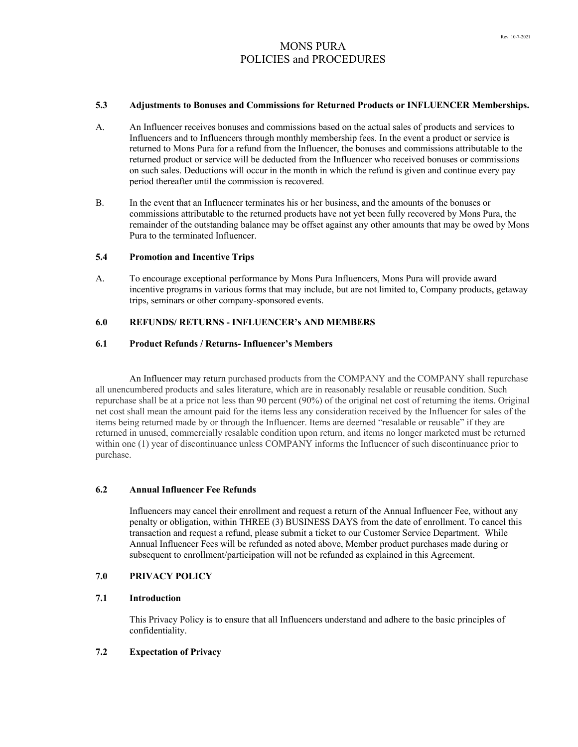### **5.3 Adjustments to Bonuses and Commissions for Returned Products or INFLUENCER Memberships.**

- A. An Influencer receives bonuses and commissions based on the actual sales of products and services to Influencers and to Influencers through monthly membership fees. In the event a product or service is returned to Mons Pura for a refund from the Influencer, the bonuses and commissions attributable to the returned product or service will be deducted from the Influencer who received bonuses or commissions on such sales. Deductions will occur in the month in which the refund is given and continue every pay period thereafter until the commission is recovered.
- B. In the event that an Influencer terminates his or her business, and the amounts of the bonuses or commissions attributable to the returned products have not yet been fully recovered by Mons Pura, the remainder of the outstanding balance may be offset against any other amounts that may be owed by Mons Pura to the terminated Influencer.

### **5.4 Promotion and Incentive Trips**

A. To encourage exceptional performance by Mons Pura Influencers, Mons Pura will provide award incentive programs in various forms that may include, but are not limited to, Company products, getaway trips, seminars or other company-sponsored events.

# **6.0 REFUNDS/ RETURNS - INFLUENCER's AND MEMBERS**

## **6.1 Product Refunds / Returns- Influencer's Members**

An Influencer may return purchased products from the COMPANY and the COMPANY shall repurchase all unencumbered products and sales literature, which are in reasonably resalable or reusable condition. Such repurchase shall be at a price not less than 90 percent (90%) of the original net cost of returning the items. Original net cost shall mean the amount paid for the items less any consideration received by the Influencer for sales of the items being returned made by or through the Influencer. Items are deemed "resalable or reusable" if they are returned in unused, commercially resalable condition upon return, and items no longer marketed must be returned within one (1) year of discontinuance unless COMPANY informs the Influencer of such discontinuance prior to purchase.

## **6.2 Annual Influencer Fee Refunds**

Influencers may cancel their enrollment and request a return of the Annual Influencer Fee, without any penalty or obligation, within THREE (3) BUSINESS DAYS from the date of enrollment. To cancel this transaction and request a refund, please submit a ticket to our Customer Service Department. While Annual Influencer Fees will be refunded as noted above, Member product purchases made during or subsequent to enrollment/participation will not be refunded as explained in this Agreement.

## **7.0 PRIVACY POLICY**

### **7.1 Introduction**

This Privacy Policy is to ensure that all Influencers understand and adhere to the basic principles of confidentiality.

#### **7.2 Expectation of Privacy**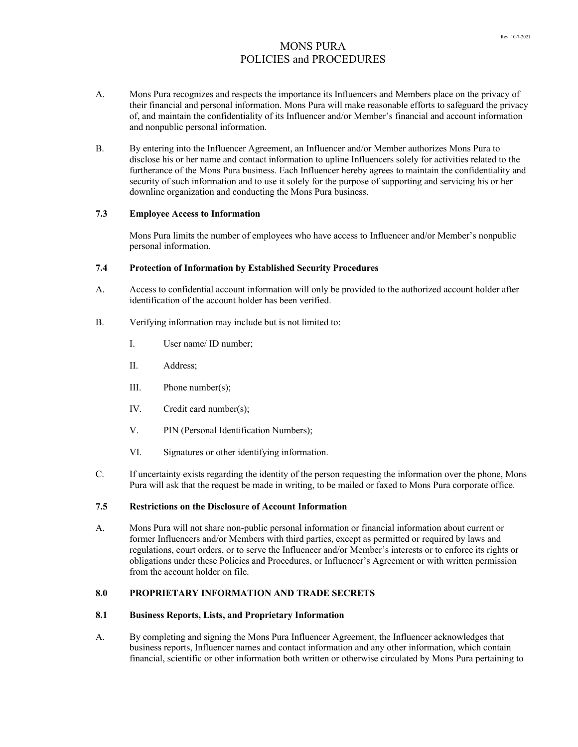- A. Mons Pura recognizes and respects the importance its Influencers and Members place on the privacy of their financial and personal information. Mons Pura will make reasonable efforts to safeguard the privacy of, and maintain the confidentiality of its Influencer and/or Member's financial and account information and nonpublic personal information.
- B. By entering into the Influencer Agreement, an Influencer and/or Member authorizes Mons Pura to disclose his or her name and contact information to upline Influencers solely for activities related to the furtherance of the Mons Pura business. Each Influencer hereby agrees to maintain the confidentiality and security of such information and to use it solely for the purpose of supporting and servicing his or her downline organization and conducting the Mons Pura business.

## **7.3 Employee Access to Information**

Mons Pura limits the number of employees who have access to Influencer and/or Member's nonpublic personal information.

## **7.4 Protection of Information by Established Security Procedures**

- A. Access to confidential account information will only be provided to the authorized account holder after identification of the account holder has been verified.
- B. Verifying information may include but is not limited to:
	- I. User name/ ID number;
	- II. Address;
	- III. Phone number(s);
	- IV. Credit card number(s);
	- V. PIN (Personal Identification Numbers);
	- VI. Signatures or other identifying information.
- C. If uncertainty exists regarding the identity of the person requesting the information over the phone, Mons Pura will ask that the request be made in writing, to be mailed or faxed to Mons Pura corporate office.

## **7.5 Restrictions on the Disclosure of Account Information**

A. Mons Pura will not share non-public personal information or financial information about current or former Influencers and/or Members with third parties, except as permitted or required by laws and regulations, court orders, or to serve the Influencer and/or Member's interests or to enforce its rights or obligations under these Policies and Procedures, or Influencer's Agreement or with written permission from the account holder on file.

## **8.0 PROPRIETARY INFORMATION AND TRADE SECRETS**

### **8.1 Business Reports, Lists, and Proprietary Information**

A. By completing and signing the Mons Pura Influencer Agreement, the Influencer acknowledges that business reports, Influencer names and contact information and any other information, which contain financial, scientific or other information both written or otherwise circulated by Mons Pura pertaining to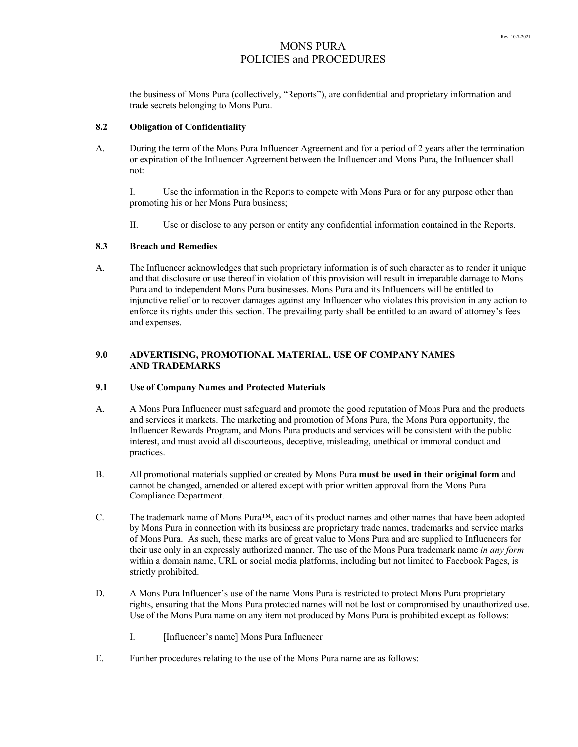the business of Mons Pura (collectively, "Reports"), are confidential and proprietary information and trade secrets belonging to Mons Pura.

#### **8.2 Obligation of Confidentiality**

A. During the term of the Mons Pura Influencer Agreement and for a period of 2 years after the termination or expiration of the Influencer Agreement between the Influencer and Mons Pura, the Influencer shall not:

I. Use the information in the Reports to compete with Mons Pura or for any purpose other than promoting his or her Mons Pura business;

II. Use or disclose to any person or entity any confidential information contained in the Reports.

### **8.3 Breach and Remedies**

A. The Influencer acknowledges that such proprietary information is of such character as to render it unique and that disclosure or use thereof in violation of this provision will result in irreparable damage to Mons Pura and to independent Mons Pura businesses. Mons Pura and its Influencers will be entitled to injunctive relief or to recover damages against any Influencer who violates this provision in any action to enforce its rights under this section. The prevailing party shall be entitled to an award of attorney's fees and expenses.

## **9.0 ADVERTISING, PROMOTIONAL MATERIAL, USE OF COMPANY NAMES AND TRADEMARKS**

#### **9.1 Use of Company Names and Protected Materials**

- A. A Mons Pura Influencer must safeguard and promote the good reputation of Mons Pura and the products and services it markets. The marketing and promotion of Mons Pura, the Mons Pura opportunity, the Influencer Rewards Program, and Mons Pura products and services will be consistent with the public interest, and must avoid all discourteous, deceptive, misleading, unethical or immoral conduct and practices.
- B. All promotional materials supplied or created by Mons Pura **must be used in their original form** and cannot be changed, amended or altered except with prior written approval from the Mons Pura Compliance Department.
- C. The trademark name of Mons Pura<sup>™</sup>, each of its product names and other names that have been adopted by Mons Pura in connection with its business are proprietary trade names, trademarks and service marks of Mons Pura. As such, these marks are of great value to Mons Pura and are supplied to Influencers for their use only in an expressly authorized manner. The use of the Mons Pura trademark name *in any form* within a domain name, URL or social media platforms, including but not limited to Facebook Pages, is strictly prohibited.
- D. A Mons Pura Influencer's use of the name Mons Pura is restricted to protect Mons Pura proprietary rights, ensuring that the Mons Pura protected names will not be lost or compromised by unauthorized use. Use of the Mons Pura name on any item not produced by Mons Pura is prohibited except as follows:
	- I. [Influencer's name] Mons Pura Influencer
- E. Further procedures relating to the use of the Mons Pura name are as follows: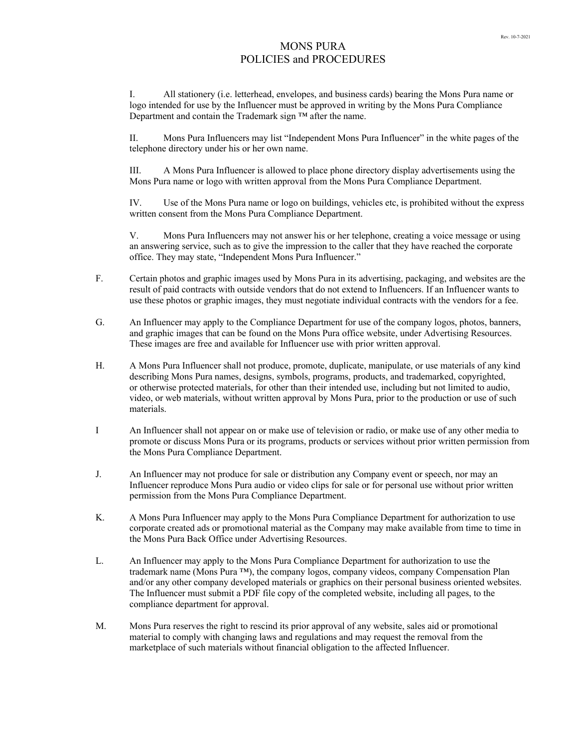I. All stationery (i.e. letterhead, envelopes, and business cards) bearing the Mons Pura name or logo intended for use by the Influencer must be approved in writing by the Mons Pura Compliance Department and contain the Trademark sign ™ after the name.

II. Mons Pura Influencers may list "Independent Mons Pura Influencer" in the white pages of the telephone directory under his or her own name.

III. A Mons Pura Influencer is allowed to place phone directory display advertisements using the Mons Pura name or logo with written approval from the Mons Pura Compliance Department.

IV. Use of the Mons Pura name or logo on buildings, vehicles etc, is prohibited without the express written consent from the Mons Pura Compliance Department.

V. Mons Pura Influencers may not answer his or her telephone, creating a voice message or using an answering service, such as to give the impression to the caller that they have reached the corporate office. They may state, "Independent Mons Pura Influencer."

- F. Certain photos and graphic images used by Mons Pura in its advertising, packaging, and websites are the result of paid contracts with outside vendors that do not extend to Influencers. If an Influencer wants to use these photos or graphic images, they must negotiate individual contracts with the vendors for a fee.
- G. An Influencer may apply to the Compliance Department for use of the company logos, photos, banners, and graphic images that can be found on the Mons Pura office website, under Advertising Resources. These images are free and available for Influencer use with prior written approval.
- H. A Mons Pura Influencer shall not produce, promote, duplicate, manipulate, or use materials of any kind describing Mons Pura names, designs, symbols, programs, products, and trademarked, copyrighted, or otherwise protected materials, for other than their intended use, including but not limited to audio, video, or web materials, without written approval by Mons Pura, prior to the production or use of such materials.
- I An Influencer shall not appear on or make use of television or radio, or make use of any other media to promote or discuss Mons Pura or its programs, products or services without prior written permission from the Mons Pura Compliance Department.
- J. An Influencer may not produce for sale or distribution any Company event or speech, nor may an Influencer reproduce Mons Pura audio or video clips for sale or for personal use without prior written permission from the Mons Pura Compliance Department.
- K. A Mons Pura Influencer may apply to the Mons Pura Compliance Department for authorization to use corporate created ads or promotional material as the Company may make available from time to time in the Mons Pura Back Office under Advertising Resources.
- L. An Influencer may apply to the Mons Pura Compliance Department for authorization to use the trademark name (Mons Pura ™), the company logos, company videos, company Compensation Plan and/or any other company developed materials or graphics on their personal business oriented websites. The Influencer must submit a PDF file copy of the completed website, including all pages, to the compliance department for approval.
- M. Mons Pura reserves the right to rescind its prior approval of any website, sales aid or promotional material to comply with changing laws and regulations and may request the removal from the marketplace of such materials without financial obligation to the affected Influencer.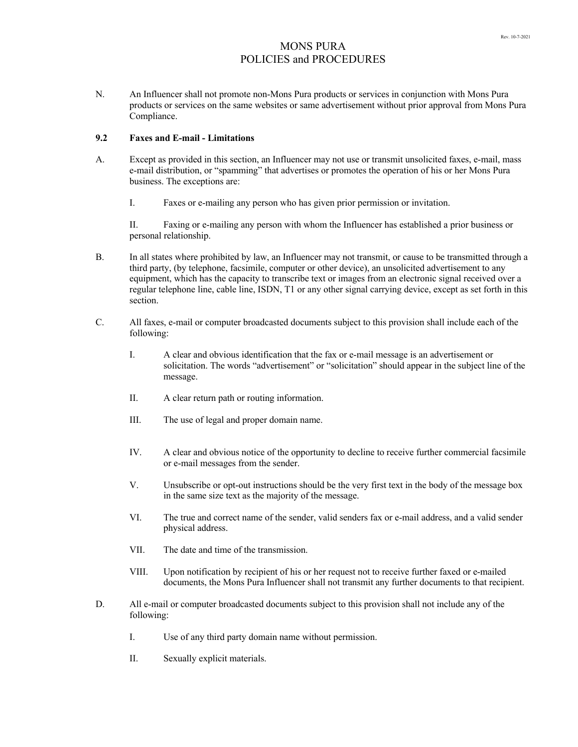N. An Influencer shall not promote non-Mons Pura products or services in conjunction with Mons Pura products or services on the same websites or same advertisement without prior approval from Mons Pura Compliance.

## **9.2 Faxes and E-mail - Limitations**

- A. Except as provided in this section, an Influencer may not use or transmit unsolicited faxes, e-mail, mass e-mail distribution, or "spamming" that advertises or promotes the operation of his or her Mons Pura business. The exceptions are:
	- I. Faxes or e-mailing any person who has given prior permission or invitation.

II. Faxing or e-mailing any person with whom the Influencer has established a prior business or personal relationship.

- B. In all states where prohibited by law, an Influencer may not transmit, or cause to be transmitted through a third party, (by telephone, facsimile, computer or other device), an unsolicited advertisement to any equipment, which has the capacity to transcribe text or images from an electronic signal received over a regular telephone line, cable line, ISDN, T1 or any other signal carrying device, except as set forth in this section.
- C. All faxes, e-mail or computer broadcasted documents subject to this provision shall include each of the following:
	- I. A clear and obvious identification that the fax or e-mail message is an advertisement or solicitation. The words "advertisement" or "solicitation" should appear in the subject line of the message.
	- II. A clear return path or routing information.
	- III. The use of legal and proper domain name.
	- IV. A clear and obvious notice of the opportunity to decline to receive further commercial facsimile or e-mail messages from the sender.
	- V. Unsubscribe or opt-out instructions should be the very first text in the body of the message box in the same size text as the majority of the message.
	- VI. The true and correct name of the sender, valid senders fax or e-mail address, and a valid sender physical address.
	- VII. The date and time of the transmission.
	- VIII. Upon notification by recipient of his or her request not to receive further faxed or e-mailed documents, the Mons Pura Influencer shall not transmit any further documents to that recipient.
- D. All e-mail or computer broadcasted documents subject to this provision shall not include any of the following:
	- I. Use of any third party domain name without permission.
	- II. Sexually explicit materials.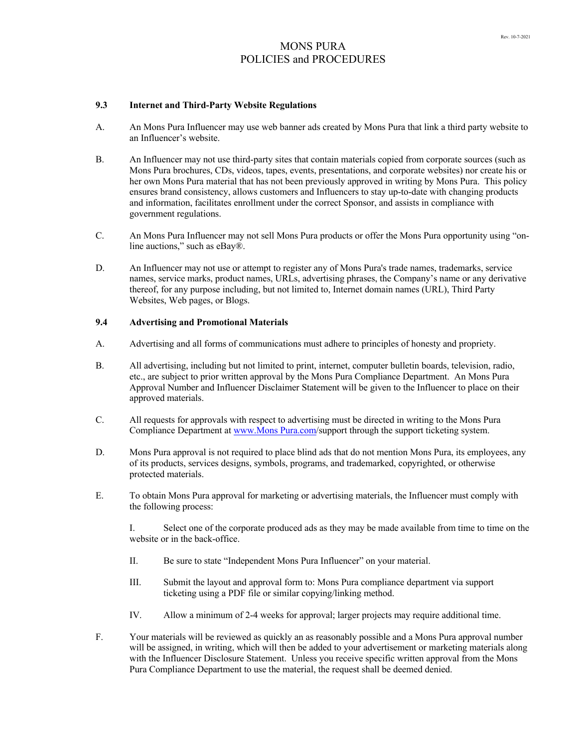## **9.3 Internet and Third-Party Website Regulations**

- A. An Mons Pura Influencer may use web banner ads created by Mons Pura that link a third party website to an Influencer's website.
- B. An Influencer may not use third-party sites that contain materials copied from corporate sources (such as Mons Pura brochures, CDs, videos, tapes, events, presentations, and corporate websites) nor create his or her own Mons Pura material that has not been previously approved in writing by Mons Pura. This policy ensures brand consistency, allows customers and Influencers to stay up-to-date with changing products and information, facilitates enrollment under the correct Sponsor, and assists in compliance with government regulations.
- C. An Mons Pura Influencer may not sell Mons Pura products or offer the Mons Pura opportunity using "online auctions," such as eBay®.
- D. An Influencer may not use or attempt to register any of Mons Pura's trade names, trademarks, service names, service marks, product names, URLs, advertising phrases, the Company's name or any derivative thereof, for any purpose including, but not limited to, Internet domain names (URL), Third Party Websites, Web pages, or Blogs.

### **9.4 Advertising and Promotional Materials**

- A. Advertising and all forms of communications must adhere to principles of honesty and propriety.
- B. All advertising, including but not limited to print, internet, computer bulletin boards, television, radio, etc., are subject to prior written approval by the Mons Pura Compliance Department. An Mons Pura Approval Number and Influencer Disclaimer Statement will be given to the Influencer to place on their approved materials.
- C. All requests for approvals with respect to advertising must be directed in writing to the Mons Pura Compliance Department at www.Mons Pura.com/support through the support ticketing system.
- D. Mons Pura approval is not required to place blind ads that do not mention Mons Pura, its employees, any of its products, services designs, symbols, programs, and trademarked, copyrighted, or otherwise protected materials.
- E. To obtain Mons Pura approval for marketing or advertising materials, the Influencer must comply with the following process:

I. Select one of the corporate produced ads as they may be made available from time to time on the website or in the back-office.

- II. Be sure to state "Independent Mons Pura Influencer" on your material.
- III. Submit the layout and approval form to: Mons Pura compliance department via support ticketing using a PDF file or similar copying/linking method.
- IV. Allow a minimum of 2-4 weeks for approval; larger projects may require additional time.
- F. Your materials will be reviewed as quickly an as reasonably possible and a Mons Pura approval number will be assigned, in writing, which will then be added to your advertisement or marketing materials along with the Influencer Disclosure Statement. Unless you receive specific written approval from the Mons Pura Compliance Department to use the material, the request shall be deemed denied.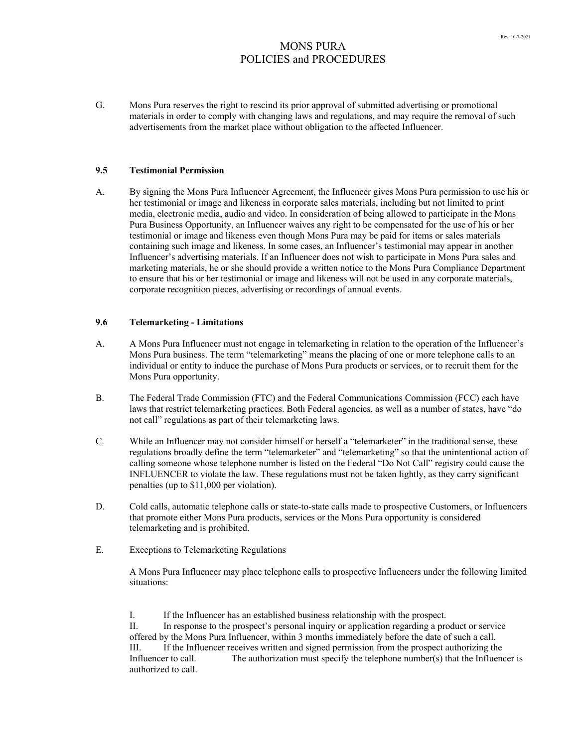G. Mons Pura reserves the right to rescind its prior approval of submitted advertising or promotional materials in order to comply with changing laws and regulations, and may require the removal of such advertisements from the market place without obligation to the affected Influencer.

### **9.5 Testimonial Permission**

A. By signing the Mons Pura Influencer Agreement, the Influencer gives Mons Pura permission to use his or her testimonial or image and likeness in corporate sales materials, including but not limited to print media, electronic media, audio and video. In consideration of being allowed to participate in the Mons Pura Business Opportunity, an Influencer waives any right to be compensated for the use of his or her testimonial or image and likeness even though Mons Pura may be paid for items or sales materials containing such image and likeness. In some cases, an Influencer's testimonial may appear in another Influencer's advertising materials. If an Influencer does not wish to participate in Mons Pura sales and marketing materials, he or she should provide a written notice to the Mons Pura Compliance Department to ensure that his or her testimonial or image and likeness will not be used in any corporate materials, corporate recognition pieces, advertising or recordings of annual events.

## **9.6 Telemarketing - Limitations**

- A. A Mons Pura Influencer must not engage in telemarketing in relation to the operation of the Influencer's Mons Pura business. The term "telemarketing" means the placing of one or more telephone calls to an individual or entity to induce the purchase of Mons Pura products or services, or to recruit them for the Mons Pura opportunity.
- B. The Federal Trade Commission (FTC) and the Federal Communications Commission (FCC) each have laws that restrict telemarketing practices. Both Federal agencies, as well as a number of states, have "do not call" regulations as part of their telemarketing laws.
- C. While an Influencer may not consider himself or herself a "telemarketer" in the traditional sense, these regulations broadly define the term "telemarketer" and "telemarketing" so that the unintentional action of calling someone whose telephone number is listed on the Federal "Do Not Call" registry could cause the INFLUENCER to violate the law. These regulations must not be taken lightly, as they carry significant penalties (up to \$11,000 per violation).
- D. Cold calls, automatic telephone calls or state-to-state calls made to prospective Customers, or Influencers that promote either Mons Pura products, services or the Mons Pura opportunity is considered telemarketing and is prohibited.
- E. Exceptions to Telemarketing Regulations

A Mons Pura Influencer may place telephone calls to prospective Influencers under the following limited situations:

I. If the Influencer has an established business relationship with the prospect. II. In response to the prospect's personal inquiry or application regarding a product or service offered by the Mons Pura Influencer, within 3 months immediately before the date of such a call. III. If the Influencer receives written and signed permission from the prospect authorizing the Influencer to call. The authorization must specify the telephone number(s) that the Influencer is authorized to call.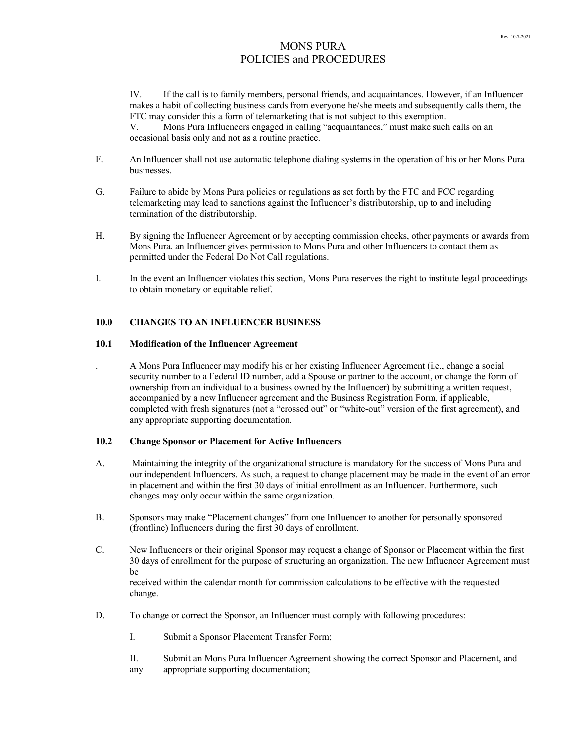IV. If the call is to family members, personal friends, and acquaintances. However, if an Influencer makes a habit of collecting business cards from everyone he/she meets and subsequently calls them, the FTC may consider this a form of telemarketing that is not subject to this exemption.

V. Mons Pura Influencers engaged in calling "acquaintances," must make such calls on an occasional basis only and not as a routine practice.

- F. An Influencer shall not use automatic telephone dialing systems in the operation of his or her Mons Pura businesses.
- G. Failure to abide by Mons Pura policies or regulations as set forth by the FTC and FCC regarding telemarketing may lead to sanctions against the Influencer's distributorship, up to and including termination of the distributorship.
- H. By signing the Influencer Agreement or by accepting commission checks, other payments or awards from Mons Pura, an Influencer gives permission to Mons Pura and other Influencers to contact them as permitted under the Federal Do Not Call regulations.
- I. In the event an Influencer violates this section, Mons Pura reserves the right to institute legal proceedings to obtain monetary or equitable relief.

# **10.0 CHANGES TO AN INFLUENCER BUSINESS**

## **10.1 Modification of the Influencer Agreement**

. A Mons Pura Influencer may modify his or her existing Influencer Agreement (i.e., change a social security number to a Federal ID number, add a Spouse or partner to the account, or change the form of ownership from an individual to a business owned by the Influencer) by submitting a written request, accompanied by a new Influencer agreement and the Business Registration Form, if applicable, completed with fresh signatures (not a "crossed out" or "white-out" version of the first agreement), and any appropriate supporting documentation.

## **10.2 Change Sponsor or Placement for Active Influencers**

- A. Maintaining the integrity of the organizational structure is mandatory for the success of Mons Pura and our independent Influencers. As such, a request to change placement may be made in the event of an error in placement and within the first 30 days of initial enrollment as an Influencer. Furthermore, such changes may only occur within the same organization.
- B. Sponsors may make "Placement changes" from one Influencer to another for personally sponsored (frontline) Influencers during the first 30 days of enrollment.
- C. New Influencers or their original Sponsor may request a change of Sponsor or Placement within the first 30 days of enrollment for the purpose of structuring an organization. The new Influencer Agreement must be received within the calendar month for commission calculations to be effective with the requested change.
- D. To change or correct the Sponsor, an Influencer must comply with following procedures:
	- I. Submit a Sponsor Placement Transfer Form;
	- II. Submit an Mons Pura Influencer Agreement showing the correct Sponsor and Placement, and any appropriate supporting documentation;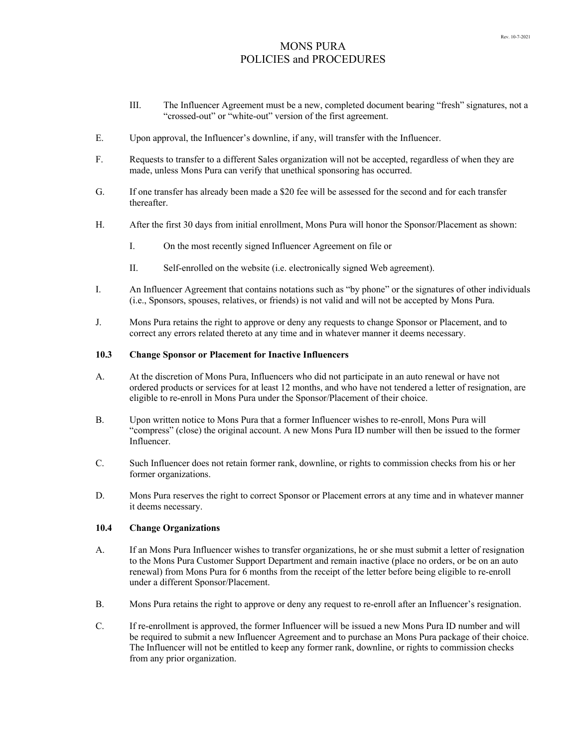- III. The Influencer Agreement must be a new, completed document bearing "fresh" signatures, not a "crossed-out" or "white-out" version of the first agreement.
- E. Upon approval, the Influencer's downline, if any, will transfer with the Influencer.
- F. Requests to transfer to a different Sales organization will not be accepted, regardless of when they are made, unless Mons Pura can verify that unethical sponsoring has occurred.
- G. If one transfer has already been made a \$20 fee will be assessed for the second and for each transfer thereafter.
- H. After the first 30 days from initial enrollment, Mons Pura will honor the Sponsor/Placement as shown:
	- I. On the most recently signed Influencer Agreement on file or
	- II. Self-enrolled on the website (i.e. electronically signed Web agreement).
- I. An Influencer Agreement that contains notations such as "by phone" or the signatures of other individuals (i.e., Sponsors, spouses, relatives, or friends) is not valid and will not be accepted by Mons Pura.
- J. Mons Pura retains the right to approve or deny any requests to change Sponsor or Placement, and to correct any errors related thereto at any time and in whatever manner it deems necessary.

# **10.3 Change Sponsor or Placement for Inactive Influencers**

- A. At the discretion of Mons Pura, Influencers who did not participate in an auto renewal or have not ordered products or services for at least 12 months, and who have not tendered a letter of resignation, are eligible to re-enroll in Mons Pura under the Sponsor/Placement of their choice.
- B. Upon written notice to Mons Pura that a former Influencer wishes to re-enroll, Mons Pura will "compress" (close) the original account. A new Mons Pura ID number will then be issued to the former Influencer.
- C. Such Influencer does not retain former rank, downline, or rights to commission checks from his or her former organizations.
- D. Mons Pura reserves the right to correct Sponsor or Placement errors at any time and in whatever manner it deems necessary.

### **10.4 Change Organizations**

- A. If an Mons Pura Influencer wishes to transfer organizations, he or she must submit a letter of resignation to the Mons Pura Customer Support Department and remain inactive (place no orders, or be on an auto renewal) from Mons Pura for 6 months from the receipt of the letter before being eligible to re-enroll under a different Sponsor/Placement.
- B. Mons Pura retains the right to approve or deny any request to re-enroll after an Influencer's resignation.
- C. If re-enrollment is approved, the former Influencer will be issued a new Mons Pura ID number and will be required to submit a new Influencer Agreement and to purchase an Mons Pura package of their choice. The Influencer will not be entitled to keep any former rank, downline, or rights to commission checks from any prior organization.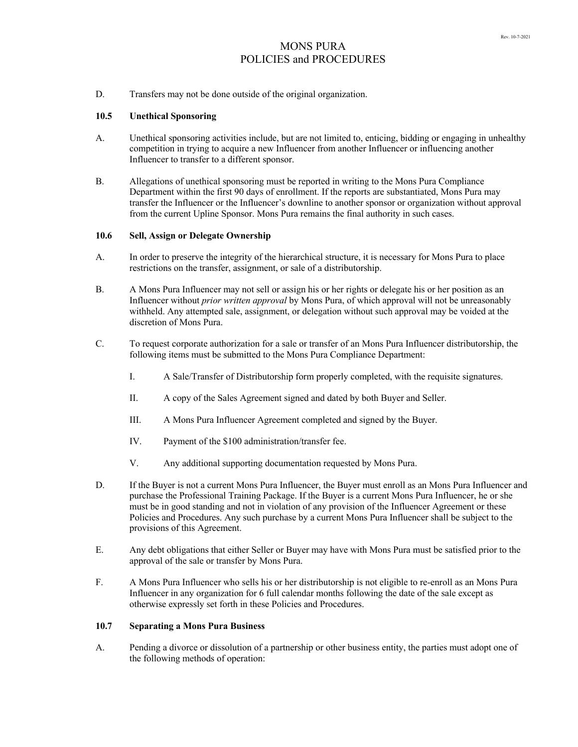D. Transfers may not be done outside of the original organization.

## **10.5 Unethical Sponsoring**

- A. Unethical sponsoring activities include, but are not limited to, enticing, bidding or engaging in unhealthy competition in trying to acquire a new Influencer from another Influencer or influencing another Influencer to transfer to a different sponsor.
- B. Allegations of unethical sponsoring must be reported in writing to the Mons Pura Compliance Department within the first 90 days of enrollment. If the reports are substantiated, Mons Pura may transfer the Influencer or the Influencer's downline to another sponsor or organization without approval from the current Upline Sponsor. Mons Pura remains the final authority in such cases.

## **10.6 Sell, Assign or Delegate Ownership**

- A. In order to preserve the integrity of the hierarchical structure, it is necessary for Mons Pura to place restrictions on the transfer, assignment, or sale of a distributorship.
- B. A Mons Pura Influencer may not sell or assign his or her rights or delegate his or her position as an Influencer without *prior written approval* by Mons Pura, of which approval will not be unreasonably withheld. Any attempted sale, assignment, or delegation without such approval may be voided at the discretion of Mons Pura.
- C. To request corporate authorization for a sale or transfer of an Mons Pura Influencer distributorship, the following items must be submitted to the Mons Pura Compliance Department:
	- I. A Sale/Transfer of Distributorship form properly completed, with the requisite signatures.
	- II. A copy of the Sales Agreement signed and dated by both Buyer and Seller.
	- III. A Mons Pura Influencer Agreement completed and signed by the Buyer.
	- IV. Payment of the \$100 administration/transfer fee.
	- V. Any additional supporting documentation requested by Mons Pura.
- D. If the Buyer is not a current Mons Pura Influencer, the Buyer must enroll as an Mons Pura Influencer and purchase the Professional Training Package. If the Buyer is a current Mons Pura Influencer, he or she must be in good standing and not in violation of any provision of the Influencer Agreement or these Policies and Procedures. Any such purchase by a current Mons Pura Influencer shall be subject to the provisions of this Agreement.
- E. Any debt obligations that either Seller or Buyer may have with Mons Pura must be satisfied prior to the approval of the sale or transfer by Mons Pura.
- F. A Mons Pura Influencer who sells his or her distributorship is not eligible to re-enroll as an Mons Pura Influencer in any organization for 6 full calendar months following the date of the sale except as otherwise expressly set forth in these Policies and Procedures.

### **10.7 Separating a Mons Pura Business**

A. Pending a divorce or dissolution of a partnership or other business entity, the parties must adopt one of the following methods of operation: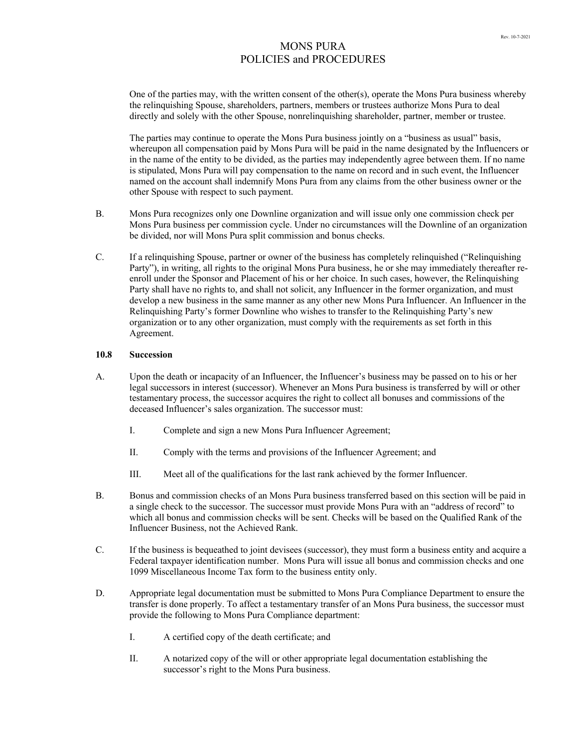One of the parties may, with the written consent of the other(s), operate the Mons Pura business whereby the relinquishing Spouse, shareholders, partners, members or trustees authorize Mons Pura to deal directly and solely with the other Spouse, nonrelinquishing shareholder, partner, member or trustee.

The parties may continue to operate the Mons Pura business jointly on a "business as usual" basis, whereupon all compensation paid by Mons Pura will be paid in the name designated by the Influencers or in the name of the entity to be divided, as the parties may independently agree between them. If no name is stipulated, Mons Pura will pay compensation to the name on record and in such event, the Influencer named on the account shall indemnify Mons Pura from any claims from the other business owner or the other Spouse with respect to such payment.

- B. Mons Pura recognizes only one Downline organization and will issue only one commission check per Mons Pura business per commission cycle. Under no circumstances will the Downline of an organization be divided, nor will Mons Pura split commission and bonus checks.
- C. If a relinquishing Spouse, partner or owner of the business has completely relinquished ("Relinquishing Party"), in writing, all rights to the original Mons Pura business, he or she may immediately thereafter reenroll under the Sponsor and Placement of his or her choice. In such cases, however, the Relinquishing Party shall have no rights to, and shall not solicit, any Influencer in the former organization, and must develop a new business in the same manner as any other new Mons Pura Influencer. An Influencer in the Relinquishing Party's former Downline who wishes to transfer to the Relinquishing Party's new organization or to any other organization, must comply with the requirements as set forth in this Agreement.

## **10.8 Succession**

- A. Upon the death or incapacity of an Influencer, the Influencer's business may be passed on to his or her legal successors in interest (successor). Whenever an Mons Pura business is transferred by will or other testamentary process, the successor acquires the right to collect all bonuses and commissions of the deceased Influencer's sales organization. The successor must:
	- I. Complete and sign a new Mons Pura Influencer Agreement;
	- II. Comply with the terms and provisions of the Influencer Agreement; and
	- III. Meet all of the qualifications for the last rank achieved by the former Influencer.
- B. Bonus and commission checks of an Mons Pura business transferred based on this section will be paid in a single check to the successor. The successor must provide Mons Pura with an "address of record" to which all bonus and commission checks will be sent. Checks will be based on the Qualified Rank of the Influencer Business, not the Achieved Rank.
- C. If the business is bequeathed to joint devisees (successor), they must form a business entity and acquire a Federal taxpayer identification number. Mons Pura will issue all bonus and commission checks and one 1099 Miscellaneous Income Tax form to the business entity only.
- D. Appropriate legal documentation must be submitted to Mons Pura Compliance Department to ensure the transfer is done properly. To affect a testamentary transfer of an Mons Pura business, the successor must provide the following to Mons Pura Compliance department:
	- I. A certified copy of the death certificate; and
	- II. A notarized copy of the will or other appropriate legal documentation establishing the successor's right to the Mons Pura business.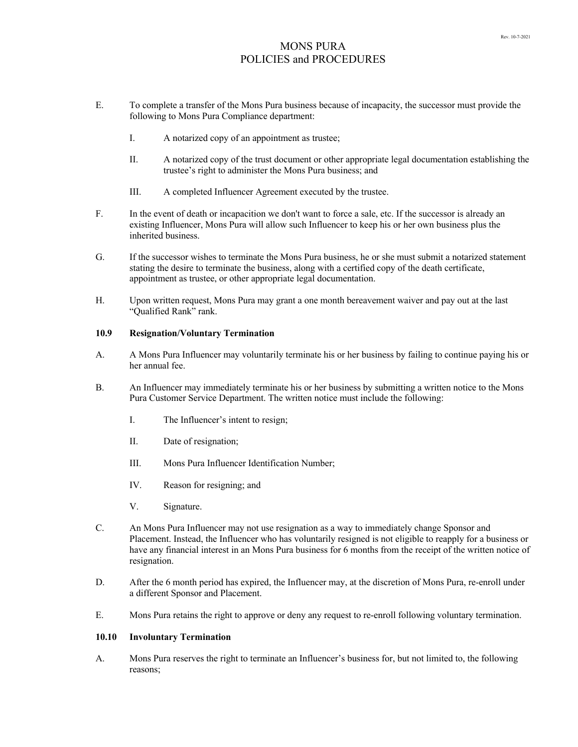- E. To complete a transfer of the Mons Pura business because of incapacity, the successor must provide the following to Mons Pura Compliance department:
	- I. A notarized copy of an appointment as trustee;
	- II. A notarized copy of the trust document or other appropriate legal documentation establishing the trustee's right to administer the Mons Pura business; and
	- III. A completed Influencer Agreement executed by the trustee.
- F. In the event of death or incapacition we don't want to force a sale, etc. If the successor is already an existing Influencer, Mons Pura will allow such Influencer to keep his or her own business plus the inherited business.
- G. If the successor wishes to terminate the Mons Pura business, he or she must submit a notarized statement stating the desire to terminate the business, along with a certified copy of the death certificate, appointment as trustee, or other appropriate legal documentation.
- H. Upon written request, Mons Pura may grant a one month bereavement waiver and pay out at the last "Qualified Rank" rank.

## **10.9 Resignation/Voluntary Termination**

- A. A Mons Pura Influencer may voluntarily terminate his or her business by failing to continue paying his or her annual fee.
- B. An Influencer may immediately terminate his or her business by submitting a written notice to the Mons Pura Customer Service Department. The written notice must include the following:
	- I. The Influencer's intent to resign;
	- II. Date of resignation;
	- III. Mons Pura Influencer Identification Number;
	- IV. Reason for resigning; and
	- V. Signature.
- C. An Mons Pura Influencer may not use resignation as a way to immediately change Sponsor and Placement. Instead, the Influencer who has voluntarily resigned is not eligible to reapply for a business or have any financial interest in an Mons Pura business for 6 months from the receipt of the written notice of resignation.
- D. After the 6 month period has expired, the Influencer may, at the discretion of Mons Pura, re-enroll under a different Sponsor and Placement.
- E. Mons Pura retains the right to approve or deny any request to re-enroll following voluntary termination.

#### **10.10 Involuntary Termination**

A. Mons Pura reserves the right to terminate an Influencer's business for, but not limited to, the following reasons;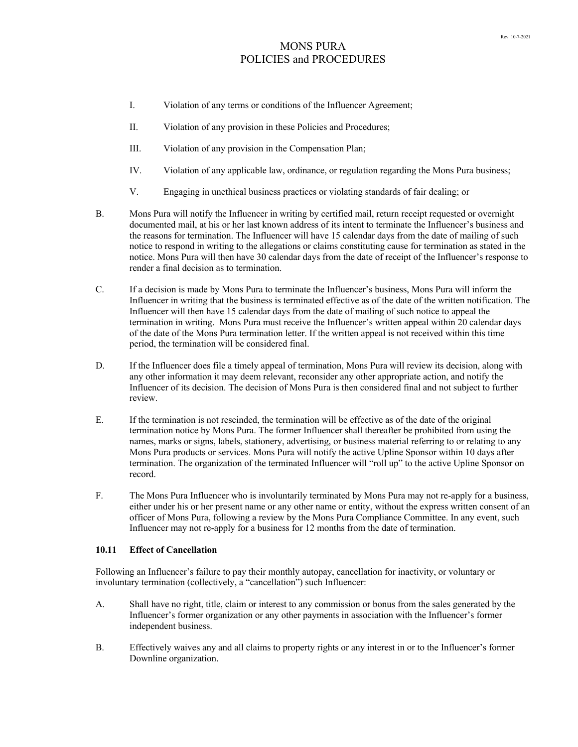- I. Violation of any terms or conditions of the Influencer Agreement;
- II. Violation of any provision in these Policies and Procedures;
- III. Violation of any provision in the Compensation Plan;
- IV. Violation of any applicable law, ordinance, or regulation regarding the Mons Pura business;
- V. Engaging in unethical business practices or violating standards of fair dealing; or
- B. Mons Pura will notify the Influencer in writing by certified mail, return receipt requested or overnight documented mail, at his or her last known address of its intent to terminate the Influencer's business and the reasons for termination. The Influencer will have 15 calendar days from the date of mailing of such notice to respond in writing to the allegations or claims constituting cause for termination as stated in the notice. Mons Pura will then have 30 calendar days from the date of receipt of the Influencer's response to render a final decision as to termination.
- C. If a decision is made by Mons Pura to terminate the Influencer's business, Mons Pura will inform the Influencer in writing that the business is terminated effective as of the date of the written notification. The Influencer will then have 15 calendar days from the date of mailing of such notice to appeal the termination in writing. Mons Pura must receive the Influencer's written appeal within 20 calendar days of the date of the Mons Pura termination letter. If the written appeal is not received within this time period, the termination will be considered final.
- D. If the Influencer does file a timely appeal of termination, Mons Pura will review its decision, along with any other information it may deem relevant, reconsider any other appropriate action, and notify the Influencer of its decision. The decision of Mons Pura is then considered final and not subject to further review.
- E. If the termination is not rescinded, the termination will be effective as of the date of the original termination notice by Mons Pura. The former Influencer shall thereafter be prohibited from using the names, marks or signs, labels, stationery, advertising, or business material referring to or relating to any Mons Pura products or services. Mons Pura will notify the active Upline Sponsor within 10 days after termination. The organization of the terminated Influencer will "roll up" to the active Upline Sponsor on record.
- F. The Mons Pura Influencer who is involuntarily terminated by Mons Pura may not re-apply for a business, either under his or her present name or any other name or entity, without the express written consent of an officer of Mons Pura, following a review by the Mons Pura Compliance Committee. In any event, such Influencer may not re-apply for a business for 12 months from the date of termination.

## **10.11 Effect of Cancellation**

Following an Influencer's failure to pay their monthly autopay, cancellation for inactivity, or voluntary or involuntary termination (collectively, a "cancellation") such Influencer:

- A. Shall have no right, title, claim or interest to any commission or bonus from the sales generated by the Influencer's former organization or any other payments in association with the Influencer's former independent business.
- B. Effectively waives any and all claims to property rights or any interest in or to the Influencer's former Downline organization.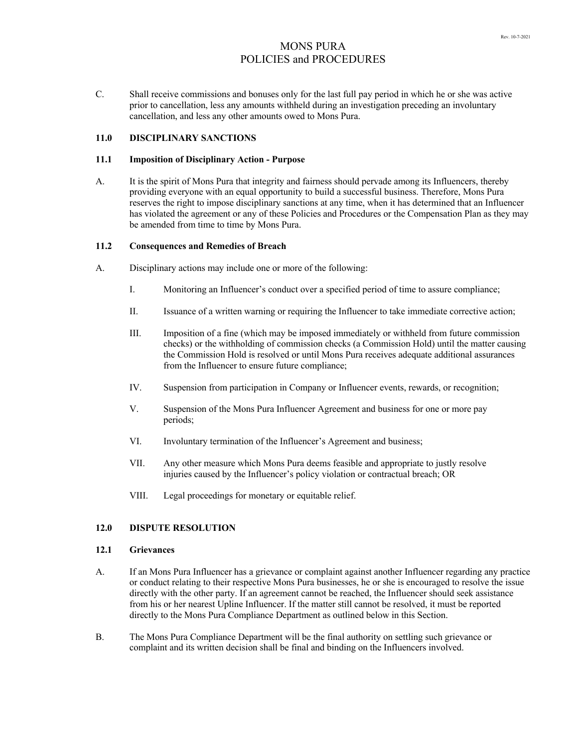C. Shall receive commissions and bonuses only for the last full pay period in which he or she was active prior to cancellation, less any amounts withheld during an investigation preceding an involuntary cancellation, and less any other amounts owed to Mons Pura.

## **11.0 DISCIPLINARY SANCTIONS**

#### **11.1 Imposition of Disciplinary Action - Purpose**

A. It is the spirit of Mons Pura that integrity and fairness should pervade among its Influencers, thereby providing everyone with an equal opportunity to build a successful business. Therefore, Mons Pura reserves the right to impose disciplinary sanctions at any time, when it has determined that an Influencer has violated the agreement or any of these Policies and Procedures or the Compensation Plan as they may be amended from time to time by Mons Pura.

### **11.2 Consequences and Remedies of Breach**

- A. Disciplinary actions may include one or more of the following:
	- I. Monitoring an Influencer's conduct over a specified period of time to assure compliance;
	- II. Issuance of a written warning or requiring the Influencer to take immediate corrective action;
	- III. Imposition of a fine (which may be imposed immediately or withheld from future commission checks) or the withholding of commission checks (a Commission Hold) until the matter causing the Commission Hold is resolved or until Mons Pura receives adequate additional assurances from the Influencer to ensure future compliance;
	- IV. Suspension from participation in Company or Influencer events, rewards, or recognition;
	- V. Suspension of the Mons Pura Influencer Agreement and business for one or more pay periods;
	- VI. Involuntary termination of the Influencer's Agreement and business;
	- VII. Any other measure which Mons Pura deems feasible and appropriate to justly resolve injuries caused by the Influencer's policy violation or contractual breach; OR
	- VIII. Legal proceedings for monetary or equitable relief.

## **12.0 DISPUTE RESOLUTION**

### **12.1 Grievances**

- A. If an Mons Pura Influencer has a grievance or complaint against another Influencer regarding any practice or conduct relating to their respective Mons Pura businesses, he or she is encouraged to resolve the issue directly with the other party. If an agreement cannot be reached, the Influencer should seek assistance from his or her nearest Upline Influencer. If the matter still cannot be resolved, it must be reported directly to the Mons Pura Compliance Department as outlined below in this Section.
- B. The Mons Pura Compliance Department will be the final authority on settling such grievance or complaint and its written decision shall be final and binding on the Influencers involved.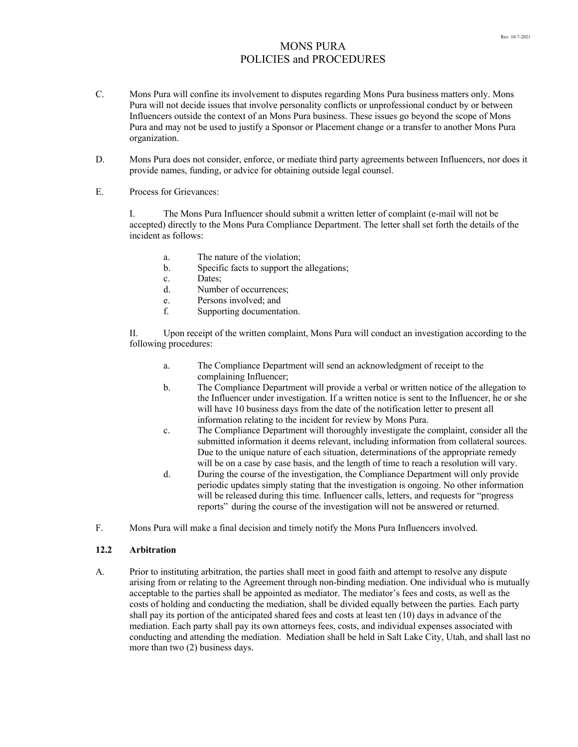- C. Mons Pura will confine its involvement to disputes regarding Mons Pura business matters only. Mons Pura will not decide issues that involve personality conflicts or unprofessional conduct by or between Influencers outside the context of an Mons Pura business. These issues go beyond the scope of Mons Pura and may not be used to justify a Sponsor or Placement change or a transfer to another Mons Pura organization.
- D. Mons Pura does not consider, enforce, or mediate third party agreements between Influencers, nor does it provide names, funding, or advice for obtaining outside legal counsel.
- E. Process for Grievances:

I. The Mons Pura Influencer should submit a written letter of complaint (e-mail will not be accepted) directly to the Mons Pura Compliance Department. The letter shall set forth the details of the incident as follows:

- a. The nature of the violation;
- b. Specific facts to support the allegations;
- c. Dates;
- d. Number of occurrences;
- e. Persons involved; and
- f. Supporting documentation.

II. Upon receipt of the written complaint, Mons Pura will conduct an investigation according to the following procedures:

- a. The Compliance Department will send an acknowledgment of receipt to the complaining Influencer;
- b. The Compliance Department will provide a verbal or written notice of the allegation to the Influencer under investigation. If a written notice is sent to the Influencer, he or she will have 10 business days from the date of the notification letter to present all information relating to the incident for review by Mons Pura.
- c. The Compliance Department will thoroughly investigate the complaint, consider all the submitted information it deems relevant, including information from collateral sources. Due to the unique nature of each situation, determinations of the appropriate remedy will be on a case by case basis, and the length of time to reach a resolution will vary.
- d. During the course of the investigation, the Compliance Department will only provide periodic updates simply stating that the investigation is ongoing. No other information will be released during this time. Influencer calls, letters, and requests for "progress reports" during the course of the investigation will not be answered or returned.
- F. Mons Pura will make a final decision and timely notify the Mons Pura Influencers involved.

## **12.2 Arbitration**

A. Prior to instituting arbitration, the parties shall meet in good faith and attempt to resolve any dispute arising from or relating to the Agreement through non-binding mediation. One individual who is mutually acceptable to the parties shall be appointed as mediator. The mediator's fees and costs, as well as the costs of holding and conducting the mediation, shall be divided equally between the parties. Each party shall pay its portion of the anticipated shared fees and costs at least ten (10) days in advance of the mediation. Each party shall pay its own attorneys fees, costs, and individual expenses associated with conducting and attending the mediation. Mediation shall be held in Salt Lake City, Utah, and shall last no more than two (2) business days.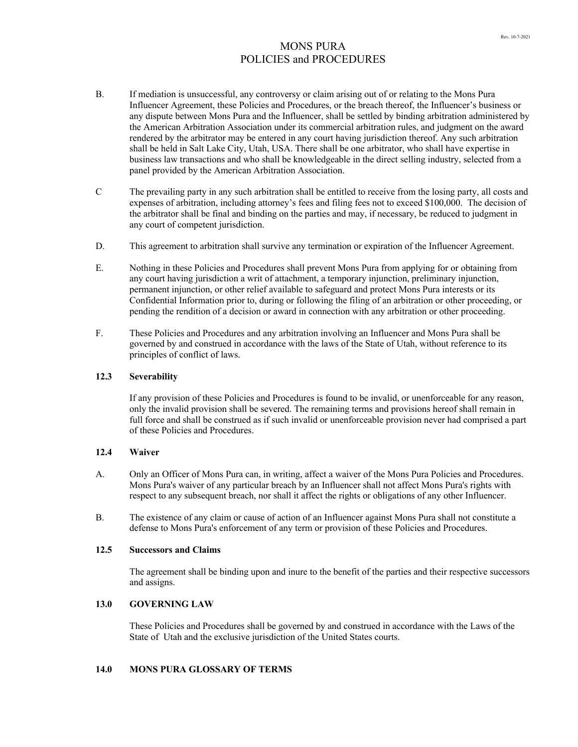- B. If mediation is unsuccessful, any controversy or claim arising out of or relating to the Mons Pura Influencer Agreement, these Policies and Procedures, or the breach thereof, the Influencer's business or any dispute between Mons Pura and the Influencer, shall be settled by binding arbitration administered by the American Arbitration Association under its commercial arbitration rules, and judgment on the award rendered by the arbitrator may be entered in any court having jurisdiction thereof. Any such arbitration shall be held in Salt Lake City, Utah, USA. There shall be one arbitrator, who shall have expertise in business law transactions and who shall be knowledgeable in the direct selling industry, selected from a panel provided by the American Arbitration Association.
- C The prevailing party in any such arbitration shall be entitled to receive from the losing party, all costs and expenses of arbitration, including attorney's fees and filing fees not to exceed \$100,000. The decision of the arbitrator shall be final and binding on the parties and may, if necessary, be reduced to judgment in any court of competent jurisdiction.
- D. This agreement to arbitration shall survive any termination or expiration of the Influencer Agreement.
- E. Nothing in these Policies and Procedures shall prevent Mons Pura from applying for or obtaining from any court having jurisdiction a writ of attachment, a temporary injunction, preliminary injunction, permanent injunction, or other relief available to safeguard and protect Mons Pura interests or its Confidential Information prior to, during or following the filing of an arbitration or other proceeding, or pending the rendition of a decision or award in connection with any arbitration or other proceeding.
- F. These Policies and Procedures and any arbitration involving an Influencer and Mons Pura shall be governed by and construed in accordance with the laws of the State of Utah, without reference to its principles of conflict of laws.

#### **12.3 Severability**

If any provision of these Policies and Procedures is found to be invalid, or unenforceable for any reason, only the invalid provision shall be severed. The remaining terms and provisions hereof shall remain in full force and shall be construed as if such invalid or unenforceable provision never had comprised a part of these Policies and Procedures.

#### **12.4 Waiver**

- A. Only an Officer of Mons Pura can, in writing, affect a waiver of the Mons Pura Policies and Procedures. Mons Pura's waiver of any particular breach by an Influencer shall not affect Mons Pura's rights with respect to any subsequent breach, nor shall it affect the rights or obligations of any other Influencer.
- B. The existence of any claim or cause of action of an Influencer against Mons Pura shall not constitute a defense to Mons Pura's enforcement of any term or provision of these Policies and Procedures.

## **12.5 Successors and Claims**

The agreement shall be binding upon and inure to the benefit of the parties and their respective successors and assigns.

## **13.0 GOVERNING LAW**

These Policies and Procedures shall be governed by and construed in accordance with the Laws of the State of Utah and the exclusive jurisdiction of the United States courts.

# **14.0 MONS PURA GLOSSARY OF TERMS**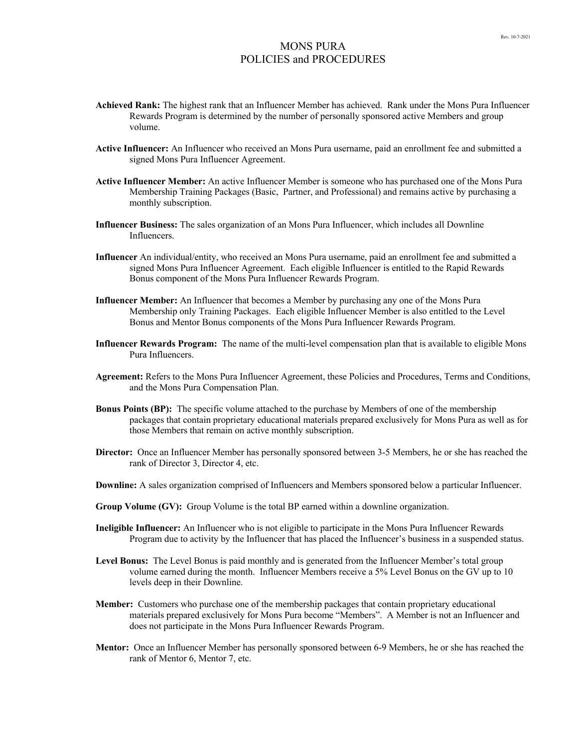- **Achieved Rank:** The highest rank that an Influencer Member has achieved. Rank under the Mons Pura Influencer Rewards Program is determined by the number of personally sponsored active Members and group volume.
- **Active Influencer:** An Influencer who received an Mons Pura username, paid an enrollment fee and submitted a signed Mons Pura Influencer Agreement.
- **Active Influencer Member:** An active Influencer Member is someone who has purchased one of the Mons Pura Membership Training Packages (Basic, Partner, and Professional) and remains active by purchasing a monthly subscription.
- **Influencer Business:** The sales organization of an Mons Pura Influencer, which includes all Downline Influencers.
- **Influencer** An individual/entity, who received an Mons Pura username, paid an enrollment fee and submitted a signed Mons Pura Influencer Agreement. Each eligible Influencer is entitled to the Rapid Rewards Bonus component of the Mons Pura Influencer Rewards Program.
- **Influencer Member:** An Influencer that becomes a Member by purchasing any one of the Mons Pura Membership only Training Packages. Each eligible Influencer Member is also entitled to the Level Bonus and Mentor Bonus components of the Mons Pura Influencer Rewards Program.
- **Influencer Rewards Program:** The name of the multi-level compensation plan that is available to eligible Mons Pura Influencers.
- **Agreement:** Refers to the Mons Pura Influencer Agreement, these Policies and Procedures, Terms and Conditions, and the Mons Pura Compensation Plan.
- **Bonus Points (BP):** The specific volume attached to the purchase by Members of one of the membership packages that contain proprietary educational materials prepared exclusively for Mons Pura as well as for those Members that remain on active monthly subscription.
- **Director:** Once an Influencer Member has personally sponsored between 3-5 Members, he or she has reached the rank of Director 3, Director 4, etc.
- **Downline:** A sales organization comprised of Influencers and Members sponsored below a particular Influencer.
- **Group Volume (GV):** Group Volume is the total BP earned within a downline organization.
- **Ineligible Influencer:** An Influencer who is not eligible to participate in the Mons Pura Influencer Rewards Program due to activity by the Influencer that has placed the Influencer's business in a suspended status.
- **Level Bonus:** The Level Bonus is paid monthly and is generated from the Influencer Member's total group volume earned during the month. Influencer Members receive a 5% Level Bonus on the GV up to 10 levels deep in their Downline.
- **Member:** Customers who purchase one of the membership packages that contain proprietary educational materials prepared exclusively for Mons Pura become "Members". A Member is not an Influencer and does not participate in the Mons Pura Influencer Rewards Program.
- **Mentor:** Once an Influencer Member has personally sponsored between 6-9 Members, he or she has reached the rank of Mentor 6, Mentor 7, etc.